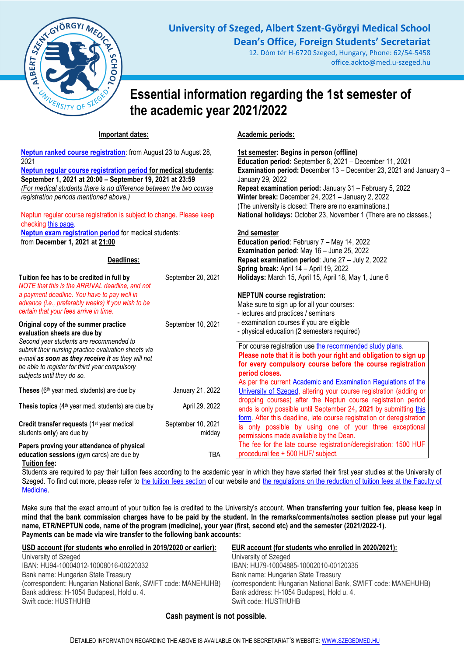

**University of Szeged, Albert Szent-Györgyi Medical School Dean's Office, Foreign Students' Secretariat**

> 12. Dóm tér H-6720 Szeged, Hungary, Phone: 62/54-5458 office.aokto@med.u-szeged.hu

# **Essential information regarding the 1st semester of the academic year 2021/2022**

**Academic periods:**

## **Important dates:**

| Neptun ranked course registration: from August 23 to August 28,<br>2021<br>Neptun regular course registration period for medical students:<br>September 1, 2021 at 20:00 - September 19, 2021 at 23:59<br>(For medical students there is no difference between the two course<br>registration periods mentioned above.)<br>Neptun regular course registration is subject to change. Please keep<br>checking this page.<br><b>Neptun exam registration period</b> for medical students:<br>from December 1, 2021 at 21:00 |                              | 1st semester: Begins in person (offline)<br>Education period: September 6, 2021 - December 11, 2021<br>Examination period: December 13 - December 23, 2021 and January 3 -<br>January 29, 2022<br>Repeat examination period: January 31 - February 5, 2022<br>Winter break: December 24, 2021 - January 2, 2022<br>(The university is closed: There are no examinations.)<br>National holidays: October 23, November 1 (There are no classes.)<br>2nd semester<br>Education period: February 7 - May 14, 2022<br>Examination period: May 16 - June 25, 2022 |
|--------------------------------------------------------------------------------------------------------------------------------------------------------------------------------------------------------------------------------------------------------------------------------------------------------------------------------------------------------------------------------------------------------------------------------------------------------------------------------------------------------------------------|------------------------------|-------------------------------------------------------------------------------------------------------------------------------------------------------------------------------------------------------------------------------------------------------------------------------------------------------------------------------------------------------------------------------------------------------------------------------------------------------------------------------------------------------------------------------------------------------------|
| Deadlines:                                                                                                                                                                                                                                                                                                                                                                                                                                                                                                               |                              | Repeat examination period: June 27 - July 2, 2022<br>Spring break: April 14 - April 19, 2022                                                                                                                                                                                                                                                                                                                                                                                                                                                                |
| Tuition fee has to be credited in full by<br>NOTE that this is the ARRIVAL deadline, and not<br>a payment deadline. You have to pay well in<br>advance (i.e., preferably weeks) if you wish to be<br>certain that your fees arrive in time.                                                                                                                                                                                                                                                                              | September 20, 2021           | Holidays: March 15, April 15, April 18, May 1, June 6<br><b>NEPTUN course registration:</b><br>Make sure to sign up for all your courses:<br>- lectures and practices / seminars                                                                                                                                                                                                                                                                                                                                                                            |
| Original copy of the summer practice<br>evaluation sheets are due by<br>Second year students are recommended to<br>submit their nursing practice evaluation sheets via<br>e-mail as soon as they receive it as they will not<br>be able to register for third year compulsory<br>subjects until they do so.                                                                                                                                                                                                              | September 10, 2021           | - examination courses if you are eligible<br>- physical education (2 semesters required)<br>For course registration use the recommended study plans.<br>Please note that it is both your right and obligation to sign up<br>for every compulsory course before the course registration<br>period closes.                                                                                                                                                                                                                                                    |
| Theses (6 <sup>th</sup> year med. students) are due by                                                                                                                                                                                                                                                                                                                                                                                                                                                                   | January 21, 2022             | As per the current Academic and Examination Regulations of the<br>University of Szeged, altering your course registration (adding or                                                                                                                                                                                                                                                                                                                                                                                                                        |
| Thesis topics $(4th$ year med. students) are due by                                                                                                                                                                                                                                                                                                                                                                                                                                                                      | April 29, 2022               | dropping courses) after the Neptun course registration period<br>ends is only possible until September 24, 2021 by submitting this                                                                                                                                                                                                                                                                                                                                                                                                                          |
| Credit transfer requests (1 <sup>st</sup> year medical<br>students only) are due by                                                                                                                                                                                                                                                                                                                                                                                                                                      | September 10, 2021<br>midday | form. After this deadline, late course registration or deregistration<br>is only possible by using one of your three exceptional<br>permissions made available by the Dean.                                                                                                                                                                                                                                                                                                                                                                                 |
| Papers proving your attendance of physical<br>education sessions (gym cards) are due by<br><b>Tuition fee:</b>                                                                                                                                                                                                                                                                                                                                                                                                           | <b>TBA</b>                   | The fee for the late course registration/deregistration: 1500 HUF<br>procedural fee + 500 HUF/ subject.                                                                                                                                                                                                                                                                                                                                                                                                                                                     |

Students are required to pay their tuition fees according to the academic year in which they have started their first year studies at the University of Szeged. To find out more, please refer to [the tuition fees section](http://www.med.u-szeged.hu/fs/tuition-fee) of our website and the regulations on the reduction of tuition fees at the Faculty of [Medicine.](http://www.med.u-szeged.hu/kulfoldi-hallgatok/regulations/faculty-of-medicine)

Make sure that the exact amount of your tuition fee is credited to the University's account. **When transferring your tuition fee, please keep in mind that the bank commission charges have to be paid by the student. In the remarks/comments/notes section please put your legal name, ETR/NEPTUN code, name of the program (medicine), your year (first, second etc) and the semester (2021/2022-1). Payments can be made via wire transfer to the following bank accounts:**

| USD account (for students who enrolled in 2019/2020 or earlier): | <b>EUR account (for students who enrolled in 2020/2021):</b>   |
|------------------------------------------------------------------|----------------------------------------------------------------|
| University of Szeged                                             | University of Szeged                                           |
| IBAN: HU94-10004012-10008016-00220332                            | IBAN: HU79-10004885-10002010-00120335                          |
| Bank name: Hungarian State Treasury                              | Bank name: Hungarian State Treasury                            |
| (correspondent: Hungarian National Bank, SWIFT code: MANEHUHB)   | (correspondent: Hungarian National Bank, SWIFT code: MANEHUHB) |
| Bank address: H-1054 Budapest, Hold u. 4.                        | Bank address: H-1054 Budapest, Hold u. 4.                      |
| Swift code: HUSTHUHB                                             | Swift code: HUSTHUHB                                           |

# **Cash payment is not possible.**